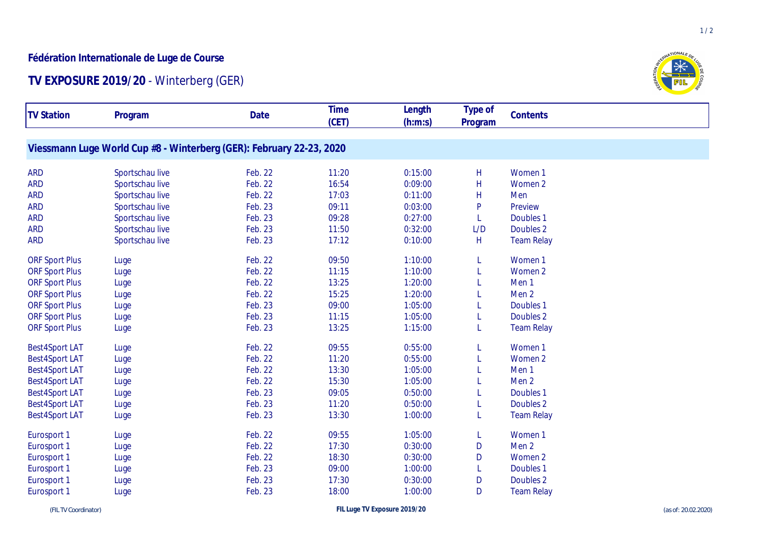## **Fédération Internationale de Luge de Course**

## **TV EXPOSURE 2019/20** - Winterberg (GER)